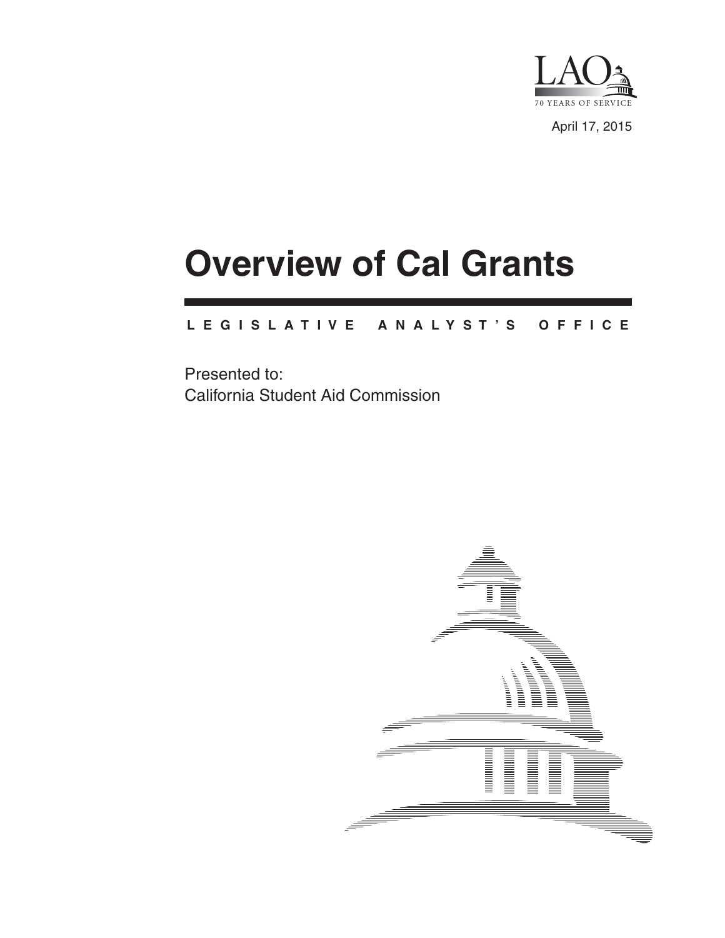

April 17, 2015

# **Overview of Cal Grants**

#### **L E G I S L A T I V E A N A L Y S T ' S O F F I C E**

Presented to: California Student Aid Commission

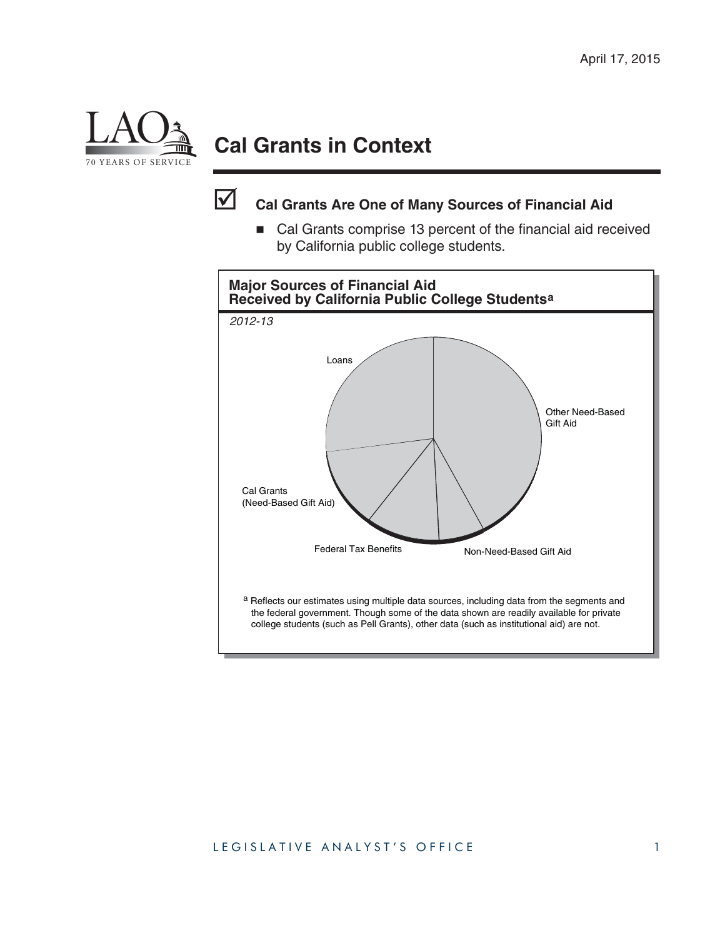

## **Cal Grants in Context**



### **Cal Grants Are One of Many Sources of Financial Aid**

■ Cal Grants comprise 13 percent of the financial aid received by California public college students.

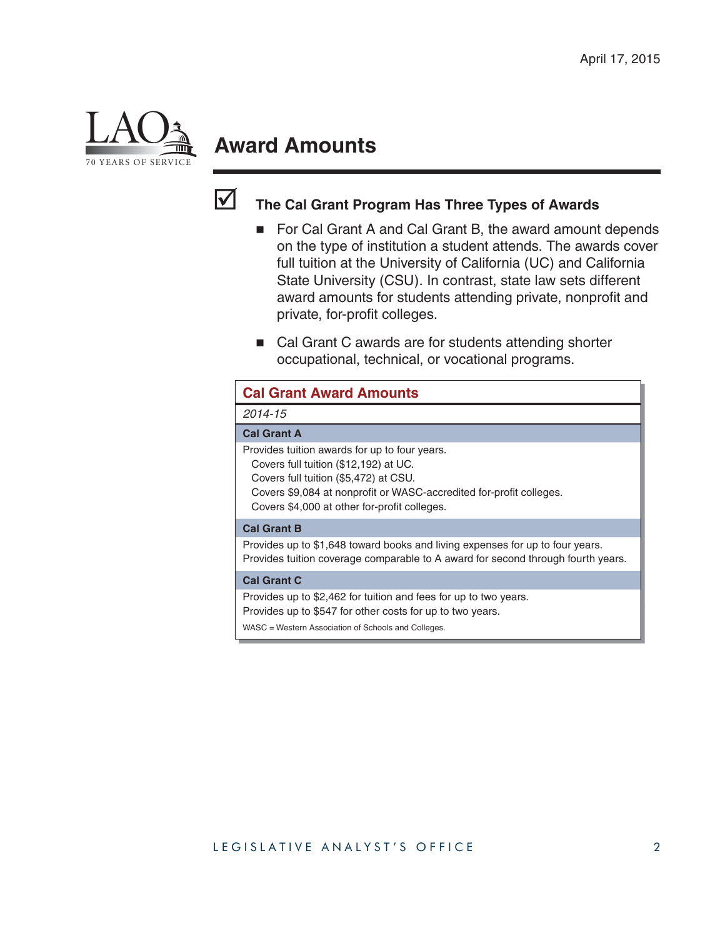

## **Award Amounts**



### **The Cal Grant Program Has Three Types of Awards**

- For Cal Grant A and Cal Grant B, the award amount depends on the type of institution a student attends. The awards cover full tuition at the University of California (UC) and California State University (CSU). In contrast, state law sets different award amounts for students attending private, nonprofit and private, for-profit colleges.
- Cal Grant C awards are for students attending shorter occupational, technical, or vocational programs.

| <b>Cal Grant Award Amounts</b>                                                 |                                                                                                                                                                      |
|--------------------------------------------------------------------------------|----------------------------------------------------------------------------------------------------------------------------------------------------------------------|
| 2014-15                                                                        |                                                                                                                                                                      |
| <b>Cal Grant A</b>                                                             |                                                                                                                                                                      |
| Covers full tuition (\$12,192) at UC.<br>Covers full tuition (\$5,472) at CSU. | Provides tuition awards for up to four years.<br>Covers \$9,084 at nonprofit or WASC-accredited for-profit colleges.<br>Covers \$4,000 at other for-profit colleges. |
| <b>Cal Grant B</b>                                                             |                                                                                                                                                                      |
|                                                                                | Provides up to \$1,648 toward books and living expenses for up to four years.<br>Provides tuition coverage comparable to A award for second through fourth years.    |
| <b>Cal Grant C</b>                                                             |                                                                                                                                                                      |
| WASC = Western Association of Schools and Colleges.                            | Provides up to \$2,462 for tuition and fees for up to two years.<br>Provides up to \$547 for other costs for up to two years.                                        |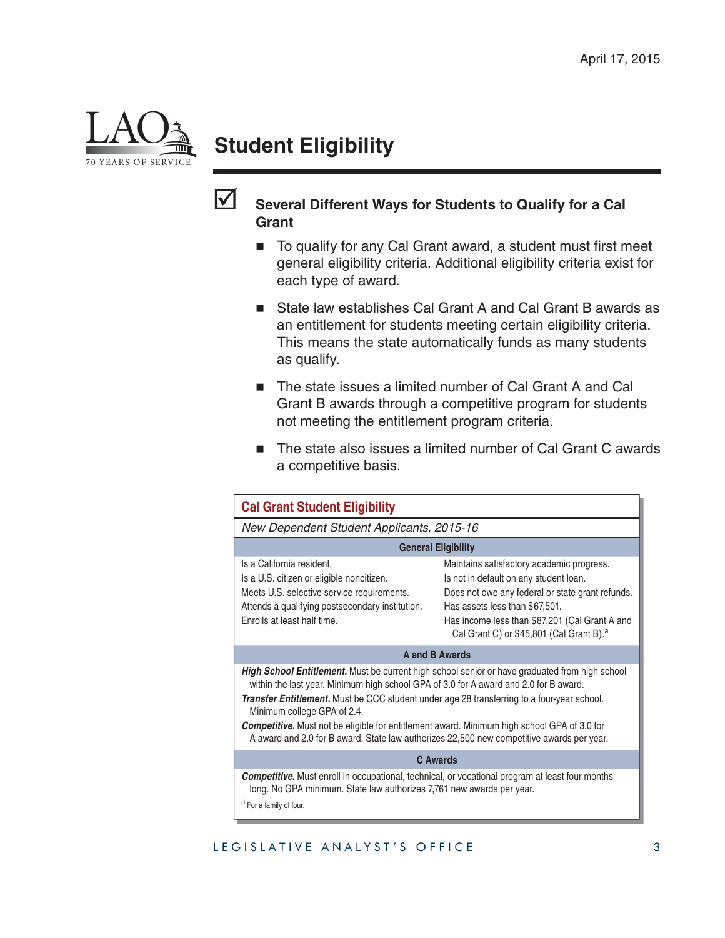

## **Student Eligibility**



#### **Several Different Ways for Students to Qualify for a Cal Grant**

- $\blacksquare$  To qualify for any Cal Grant award, a student must first meet general eligibility criteria. Additional eligibility criteria exist for each type of award.
- State law establishes Cal Grant A and Cal Grant B awards as an entitlement for students meeting certain eligibility criteria. This means the state automatically funds as many students as qualify.
- The state issues a limited number of Cal Grant A and Cal Grant B awards through a competitive program for students not meeting the entitlement program criteria.
- The state also issues a limited number of Cal Grant C awards a competitive basis.

| <b>Cal Grant Student Eligibility</b>                                                                                                                                                                                                                                                                                                                                                                                                                                                                                           |                                                                                                                                                                                                                                                                                     |  |  |
|--------------------------------------------------------------------------------------------------------------------------------------------------------------------------------------------------------------------------------------------------------------------------------------------------------------------------------------------------------------------------------------------------------------------------------------------------------------------------------------------------------------------------------|-------------------------------------------------------------------------------------------------------------------------------------------------------------------------------------------------------------------------------------------------------------------------------------|--|--|
| New Dependent Student Applicants, 2015-16                                                                                                                                                                                                                                                                                                                                                                                                                                                                                      |                                                                                                                                                                                                                                                                                     |  |  |
| <b>General Eligibility</b>                                                                                                                                                                                                                                                                                                                                                                                                                                                                                                     |                                                                                                                                                                                                                                                                                     |  |  |
| Is a California resident.<br>Is a U.S. citizen or eligible noncitizen.<br>Meets U.S. selective service requirements.<br>Attends a qualifying postsecondary institution.<br>Enrolls at least half time.                                                                                                                                                                                                                                                                                                                         | Maintains satisfactory academic progress.<br>Is not in default on any student loan.<br>Does not owe any federal or state grant refunds.<br>Has assets less than \$67,501.<br>Has income less than \$87,201 (Cal Grant A and<br>Cal Grant C) or \$45,801 (Cal Grant B). <sup>a</sup> |  |  |
| <b>A and B Awards</b>                                                                                                                                                                                                                                                                                                                                                                                                                                                                                                          |                                                                                                                                                                                                                                                                                     |  |  |
| <b>High School Entitlement.</b> Must be current high school senior or have graduated from high school<br>within the last year. Minimum high school GPA of 3.0 for A award and 2.0 for B award.<br>Transfer Entitlement. Must be CCC student under age 28 transferring to a four-year school.<br>Minimum college GPA of 2.4.<br><b>Competitive.</b> Must not be eligible for entitlement award. Minimum high school GPA of 3.0 for<br>A award and 2.0 for B award. State law authorizes 22,500 new competitive awards per year. |                                                                                                                                                                                                                                                                                     |  |  |
| <b>C</b> Awards                                                                                                                                                                                                                                                                                                                                                                                                                                                                                                                |                                                                                                                                                                                                                                                                                     |  |  |
| <b>Competitive.</b> Must enroll in occupational, technical, or vocational program at least four months<br>long. No GPA minimum. State law authorizes 7,761 new awards per year.<br>a For a family of four.                                                                                                                                                                                                                                                                                                                     |                                                                                                                                                                                                                                                                                     |  |  |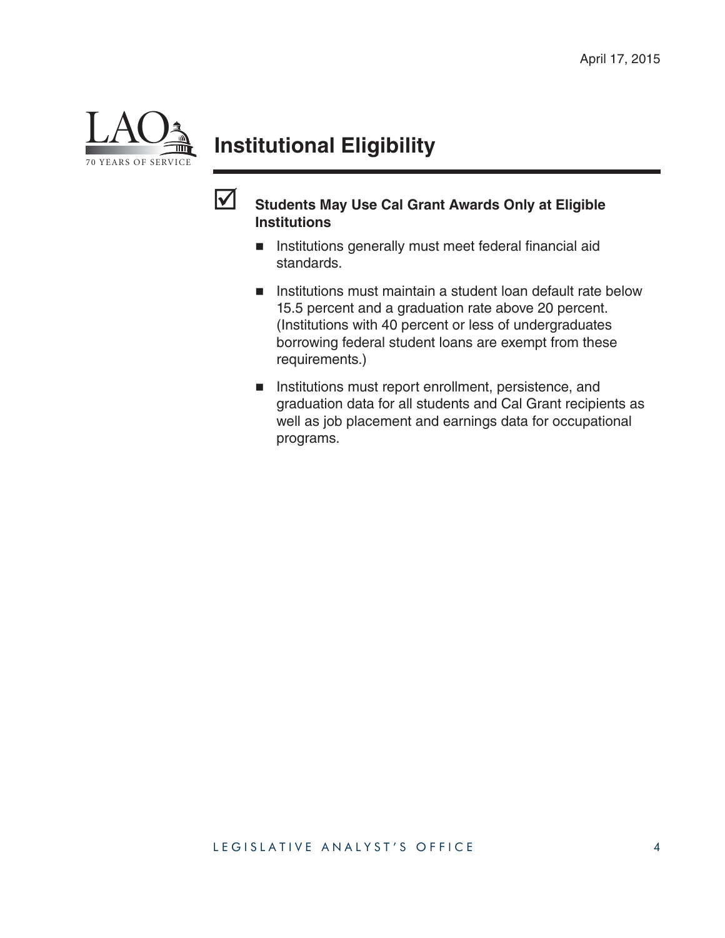

## **Institutional Eligibility**



#### **Students May Use Cal Grant Awards Only at Eligible Institutions**

- **Institutions generally must meet federal financial aid** standards.
- **Institutions must maintain a student loan default rate below** 15.5 percent and a graduation rate above 20 percent. (Institutions with 40 percent or less of undergraduates borrowing federal student loans are exempt from these requirements.)
- **Institutions must report enrollment, persistence, and** graduation data for all students and Cal Grant recipients as well as job placement and earnings data for occupational programs.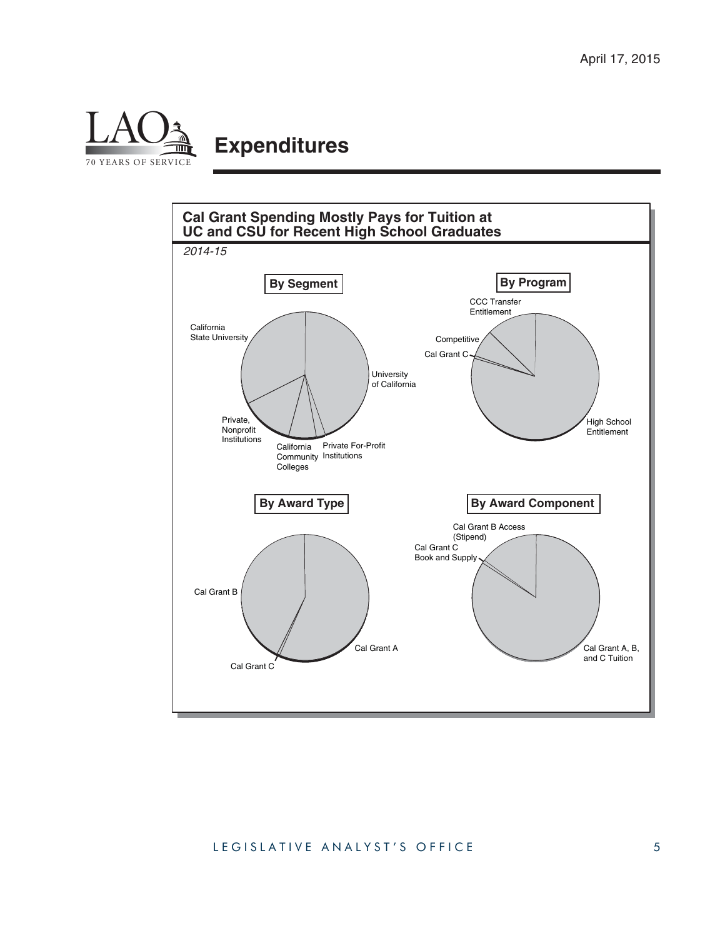

## **Expenditures**

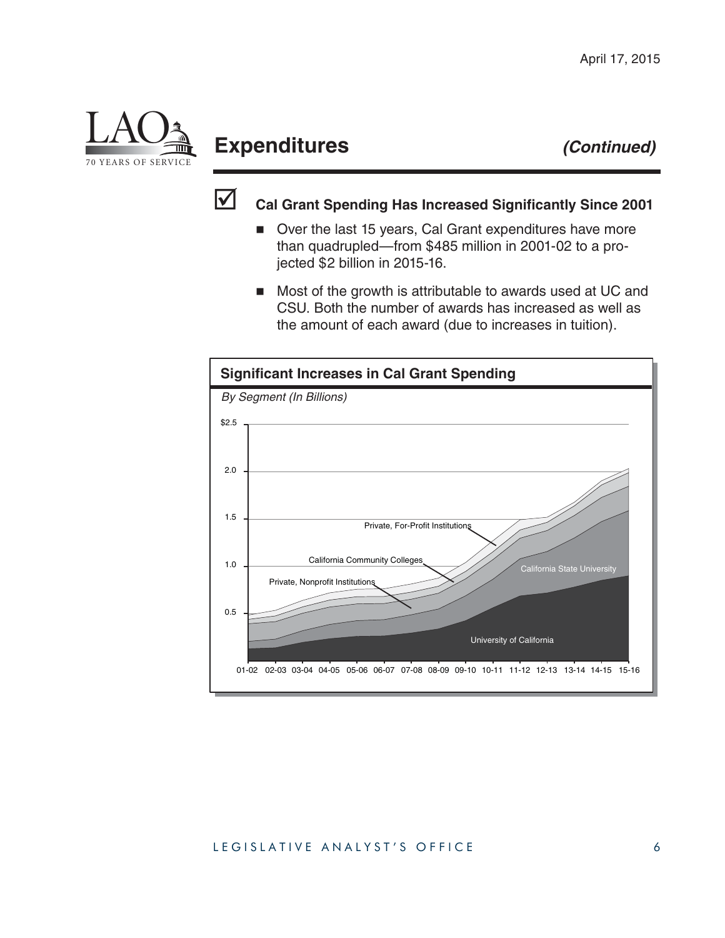

## **Expenditures** *(Continued)*



### **Cal Grant Spending Has Increased Significantly Since 2001**

- Over the last 15 years, Cal Grant expenditures have more than quadrupled—from \$485 million in 2001-02 to a projected \$2 billion in 2015-16.
- Most of the growth is attributable to awards used at UC and CSU. Both the number of awards has increased as well as the amount of each award (due to increases in tuition).

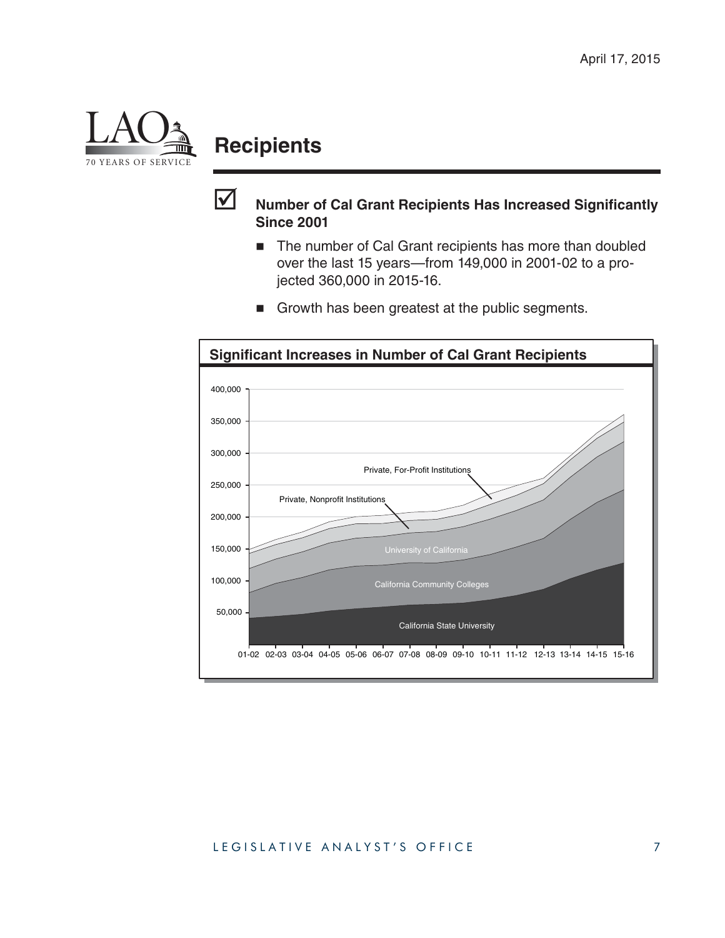

## **Recipients**



#### **Number of Cal Grant Recipients Has Increased Significantly Since 2001**

■ The number of Cal Grant recipients has more than doubled over the last 15 years—from 149,000 in 2001-02 to a projected 360,000 in 2015-16.



Growth has been greatest at the public segments.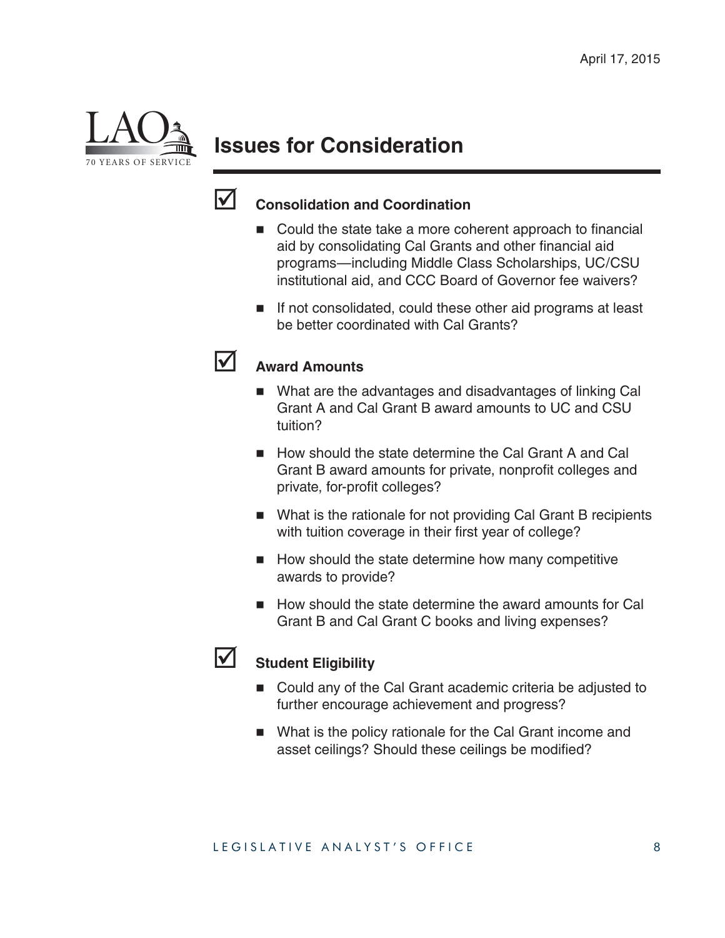

## **Issues for Consideration**



### **Consolidation and Coordination**

- $\blacksquare$  Could the state take a more coherent approach to financial aid by consolidating Cal Grants and other financial aid programs—including Middle Class Scholarships, UC/CSU institutional aid, and CCC Board of Governor fee waivers?
- If not consolidated, could these other aid programs at least be better coordinated with Cal Grants?



#### **Award Amounts**

- What are the advantages and disadvantages of linking Cal Grant A and Cal Grant B award amounts to UC and CSU tuition?
- How should the state determine the Cal Grant A and Cal Grant B award amounts for private, nonprofit colleges and private, for-profit colleges?
- What is the rationale for not providing Cal Grant B recipients with tuition coverage in their first year of college?
- How should the state determine how many competitive awards to provide?
- How should the state determine the award amounts for Cal Grant B and Cal Grant C books and living expenses?



#### Student Eligibility

- Could any of the Cal Grant academic criteria be adjusted to further encourage achievement and progress?
- What is the policy rationale for the Cal Grant income and asset ceilings? Should these ceilings be modified?